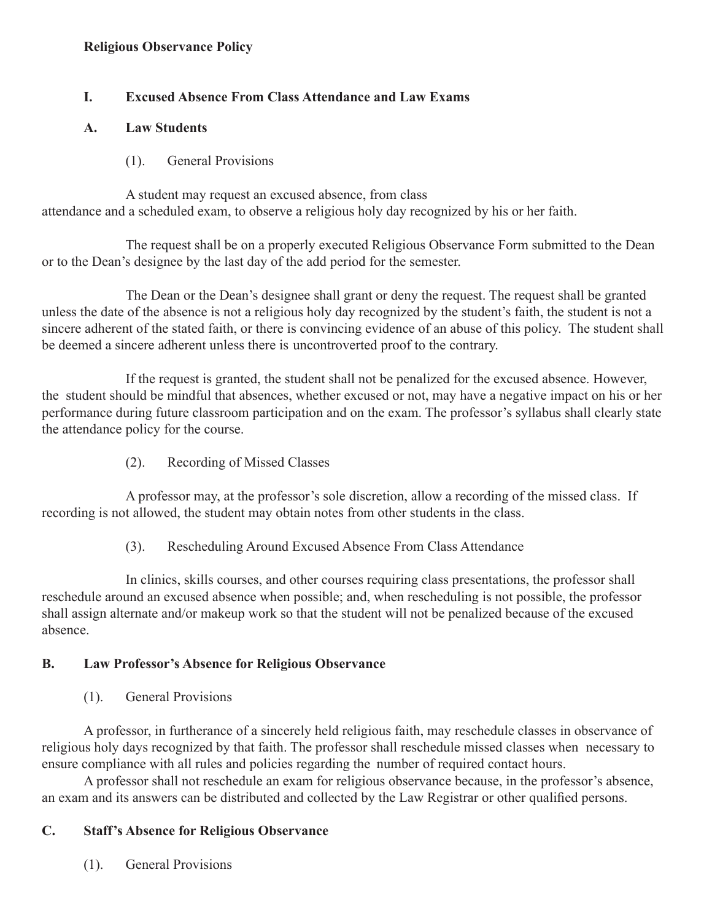### **Religious Observance Policy**

## **I. Excused Absence From Class Attendance and Law Exams**

### **A. Law Students**

(1). General Provisions

 A student may request an excused absence, from class attendance and a scheduled exam, to observe a religious holy day recognized by his or her faith.

 The request shall be on a properly executed Religious Observance Form submitted to the Dean or to the Dean's designee by the last day of the add period for the semester.

 The Dean or the Dean's designee shall grant or deny the request. The request shall be granted unless the date of the absence is not a religious holy day recognized by the student's faith, the student is not a sincere adherent of the stated faith, or there is convincing evidence of an abuse of this policy. The student shall be deemed a sincere adherent unless there is uncontroverted proof to the contrary.

 If the request is granted, the student shall not be penalized for the excused absence. However, the student should be mindful that absences, whether excused or not, may have a negative impact on his or her performance during future classroom participation and on the exam. The professor's syllabus shall clearly state the attendance policy for the course.

(2). Recording of Missed Classes

 A professor may, at the professor's sole discretion, allow a recording of the missed class. If recording is not allowed, the student may obtain notes from other students in the class.

(3). Rescheduling Around Excused Absence From Class Attendance

 In clinics, skills courses, and other courses requiring class presentations, the professor shall reschedule around an excused absence when possible; and, when rescheduling is not possible, the professor shall assign alternate and/or makeup work so that the student will not be penalized because of the excused absence.

### **B. Law Professor's Absence for Religious Observance**

(1). General Provisions

A professor, in furtherance of a sincerely held religious faith, may reschedule classes in observance of religious holy days recognized by that faith. The professor shall reschedule missed classes when necessary to ensure compliance with all rules and policies regarding the number of required contact hours.

A professor shall not reschedule an exam for religious observance because, in the professor's absence, an exam and its answers can be distributed and collected by the Law Registrar or other qualified persons.

# **C. Staff's Absence for Religious Observance**

(1). General Provisions